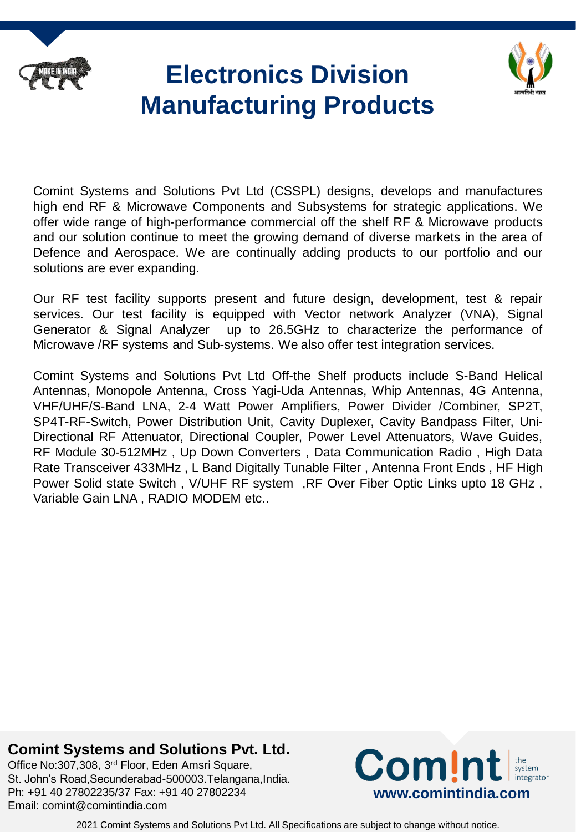

# **Electronics Division Manufacturing Products**



Comint Systems and Solutions Pvt Ltd (CSSPL) designs, develops and manufactures high end RF & Microwave Components and Subsystems for strategic applications. We offer wide range of high-performance commercial off the shelf RF & Microwave products and our solution continue to meet the growing demand of diverse markets in the area of Defence and Aerospace. We are continually adding products to our portfolio and our solutions are ever expanding.

Our RF test facility supports present and future design, development, test & repair services. Our test facility is equipped with Vector network Analyzer (VNA), Signal Generator & Signal Analyzer up to 26.5GHz to characterize the performance of Microwave /RF systems and Sub-systems. We also offer test integration services.

Comint Systems and Solutions Pvt Ltd Off-the Shelf products include S-Band Helical Antennas, Monopole Antenna, Cross Yagi-Uda Antennas, Whip Antennas, 4G Antenna, VHF/UHF/S-Band LNA, 2-4 Watt Power Amplifiers, Power Divider /Combiner, SP2T, SP4T-RF-Switch, Power Distribution Unit, Cavity Duplexer, Cavity Bandpass Filter, Uni-Directional RF Attenuator, Directional Coupler, Power Level Attenuators, Wave Guides, RF Module 30-512MHz , Up Down Converters , Data Communication Radio , High Data Rate Transceiver 433MHz , L Band Digitally Tunable Filter , Antenna Front Ends , HF High Power Solid state Switch , V/UHF RF system ,RF Over Fiber Optic Links upto 18 GHz , Variable Gain LNA , RADIO MODEM etc..

#### **Comint Systems and Solutions Pvt. Ltd.**

Office No:307,308, 3rd Floor, Eden Amsri Square, St. John's Road,Secunderabad-500003.Telangana,India. Ph: +91 40 27802235/37 Fax: +91 40 27802234 Email: comint@comintindia.com

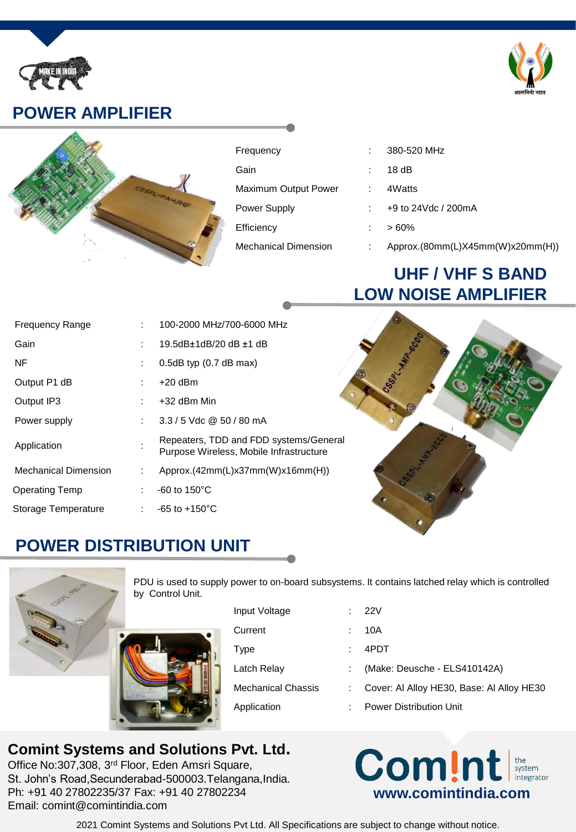

## **POWER AMPLIFIER**



| Frequency            |   | 380-520 MHz                      |
|----------------------|---|----------------------------------|
| Gain                 |   | 18dB                             |
| Maximum Output Power | ÷ | 4Watts                           |
| Power Supply         |   | +9 to 24Vdc / 200mA              |
| Efficiency           |   | $>60\%$                          |
| Mechanical Dimension |   | Approx.(80mm(L)X45mm(W)x20mm(H)) |

# **UHF / VHF S BAND LOW NOISE AMPLIFIER**

| <b>Frequency Range</b>      |    | 100-2000 MHz/700-6000 MHz                                                         |
|-----------------------------|----|-----------------------------------------------------------------------------------|
| Gain                        |    | 19.5dB±1dB/20 dB ±1 dB                                                            |
| <b>NF</b>                   | ÷. | $0.5dB$ typ $(0.7dB$ max)                                                         |
| Output P1 dB                |    | $+20$ dBm                                                                         |
| Output IP3                  |    | +32 dBm Min                                                                       |
| Power supply                | t. | $3.3/5$ Vdc @ 50 / 80 mA                                                          |
| Application                 |    | Repeaters, TDD and FDD systems/General<br>Purpose Wireless, Mobile Infrastructure |
| <b>Mechanical Dimension</b> | t. | Approx.(42mm(L)x37mm(W)x16mm(H))                                                  |
| Operating Temp              |    | $-60$ to 150 $^{\circ}$ C                                                         |
| Storage Temperature         | t. | $-65$ to $+150^{\circ}$ C                                                         |



# **POWER DISTRIBUTION UNIT**



PDU is used to supply power to on-board subsystems. It contains latched relay which is controlled by Control Unit.

| Input Voltage             | - 22V                                     |
|---------------------------|-------------------------------------------|
| Current                   | 10A                                       |
| Type                      | 4PDT                                      |
| Latch Relay               | (Make: Deusche - ELS410142A)              |
| <b>Mechanical Chassis</b> | Cover: Al Alloy HE30, Base: Al Alloy HE30 |
| Application               | <b>Power Distribution Unit</b>            |
|                           |                                           |

#### **Comint Systems and Solutions Pvt. Ltd.**

Office No:307,308, 3rd Floor, Eden Amsri Square, St. John's Road,Secunderabad-500003.Telangana,India. Ph: +91 40 27802235/37 Fax: +91 40 27802234 Email: comint@comintindia.com

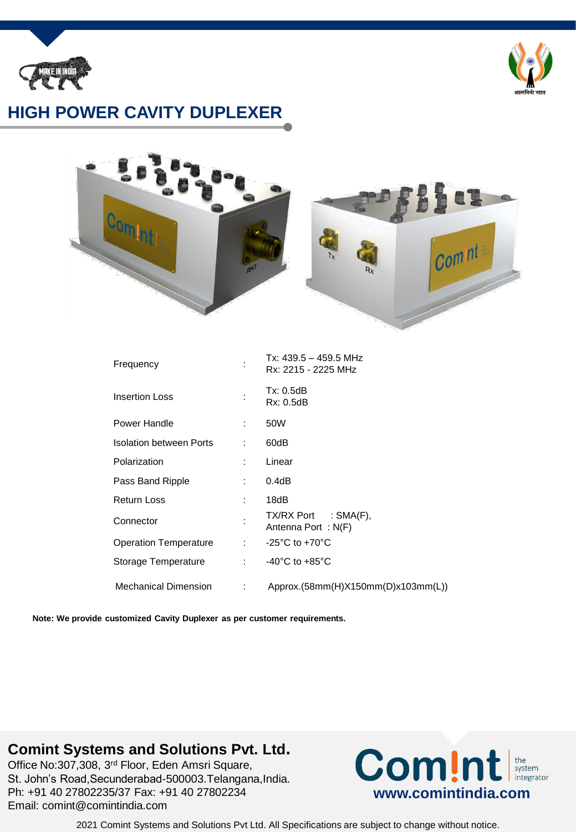



## **HIGH POWER CAVITY DUPLEXER**



| Frequency                      |                            | Tx: 439.5 - 459.5 MHz<br>Rx: 2215 - 2225 MHz |
|--------------------------------|----------------------------|----------------------------------------------|
| <b>Insertion Loss</b>          |                            | Tx: 0.5dB<br>Rx: 0.5dB                       |
| Power Handle                   | t in                       | 50W                                          |
| <b>Isolation between Ports</b> |                            | 60dB                                         |
| Polarization                   | t.                         | Linear                                       |
| Pass Band Ripple               | t in                       | 0.4dB                                        |
| <b>Return Loss</b>             | t in                       | 18dB                                         |
| Connector                      |                            | $TX/RX$ Port : SMA(F),<br>Antenna Port: N(F) |
| <b>Operation Temperature</b>   |                            | : $-25^{\circ}$ C to $+70^{\circ}$ C         |
| Storage Temperature            | <b>College</b>             | $-40^{\circ}$ C to $+85^{\circ}$ C           |
| <b>Mechanical Dimension</b>    | $\mathcal{L}^{\text{max}}$ | Approx.(58mm(H)X150mm(D)x103mm(L))           |

**Note: We provide customized Cavity Duplexer as per customer requirements.**

#### **Comint Systems and Solutions Pvt. Ltd.**

Office No:307,308, 3rd Floor, Eden Amsri Square, St. John's Road,Secunderabad-500003.Telangana,India. Ph: +91 40 27802235/37 Fax: +91 40 27802234 Email: comint@comintindia.com

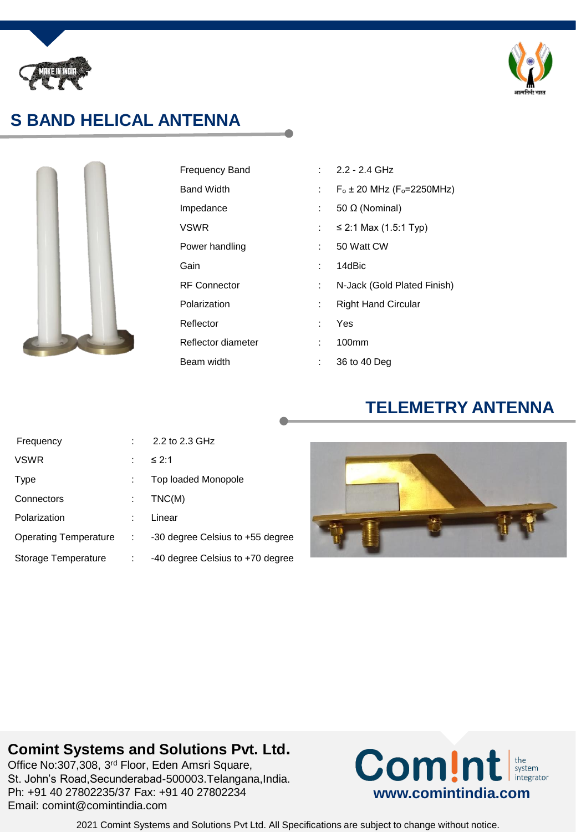



# **S BAND HELICAL ANTENNA**



| Frequency Band      |    | $2.2 - 2.4$ GHz                      |
|---------------------|----|--------------------------------------|
| Band Width          |    | $F_0 \pm 20$ MHz ( $F_0 = 2250$ MHz) |
| Impedance           |    | 50 Ω (Nominal)                       |
| VSWR                |    | ≤ 2:1 Max $(1.5:1$ Typ)              |
| Power handling      |    | 50 Watt CW                           |
| Gain                |    | 14dBic                               |
| <b>RF Connector</b> |    | N-Jack (Gold Plated Finish)          |
| Polarization        |    | <b>Right Hand Circular</b>           |
| Reflector           |    | Yes                                  |
| Reflector diameter  | t. | 100mm                                |
| Beam width          |    | 36 to 40 Deg                         |

### **TELEMETRY ANTENNA**

| Frequency                 |   | 2.2 to 2.3 GHz                   |
|---------------------------|---|----------------------------------|
| VSWR                      |   | ≤ 2:1                            |
| Type                      |   | Top loaded Monopole              |
| Connectors                |   | TNC(M)                           |
| Polarization              |   | Linear                           |
| Operating Temperature : : |   | -30 degree Celsius to +55 degree |
| Storage Temperature       | ÷ | -40 degree Celsius to +70 degree |
|                           |   |                                  |



## **Comint Systems and Solutions Pvt. Ltd.**

Office No:307,308, 3rd Floor, Eden Amsri Square, St. John's Road,Secunderabad-500003.Telangana,India. Ph: +91 40 27802235/37 Fax: +91 40 27802234 Email: comint@comintindia.com

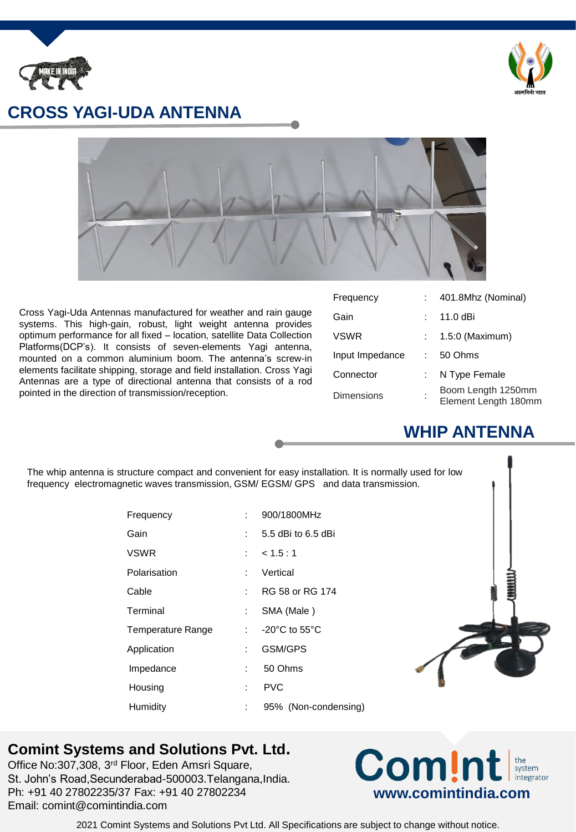



#### **CROSS YAGI-UDA ANTENNA**



Cross Yagi-Uda Antennas manufactured for weather and rain gauge systems. This high-gain, robust, light weight antenna provides optimum performance for all fixed – location, satellite Data Collection Platforms(DCP's). It consists of seven-elements Yagi antenna, mounted on a common aluminium boom. The antenna's screw-in elements facilitate shipping, storage and field installation. Cross Yagi Antennas are a type of directional antenna that consists of a rod pointed in the direction of transmission/reception.

| Frequency         | 401.8Mhz (Nominal)                         |
|-------------------|--------------------------------------------|
| Gain              | 11.0 dBi                                   |
| <b>VSWR</b>       | 1.5:0 (Maximum)                            |
| Input Impedance   | 50 Ohms                                    |
| Connector         | N Type Female                              |
| <b>Dimensions</b> | Boom Length 1250mm<br>Element Length 180mm |

## **WHIP ANTENNA**

The whip antenna is structure compact and convenient for easy installation. It is normally used for low frequency electromagnetic waves transmission, GSM/ EGSM/ GPS and data transmission. Frequency : 900/1800MHz Gain : 5.5 dBi to 6.5 dBi VSWR : < 1.5 : 1 Polarisation : Vertical Cable : RG 58 or RG 174 Terminal : SMA (Male ) Temperature Range : -20°C to 55°C Application : GSM/GPS Impedance : 50 Ohms Housing : PVC Humidity : 95% (Non-condensing)

#### **Comint Systems and Solutions Pvt. Ltd.**

Office No:307,308, 3rd Floor, Eden Amsri Square, St. John's Road,Secunderabad-500003.Telangana,India. Ph: +91 40 27802235/37 Fax: +91 40 27802234 Email: comint@comintindia.com

#### **Com!nt** the<br>system integrator **www.comintindia.com**